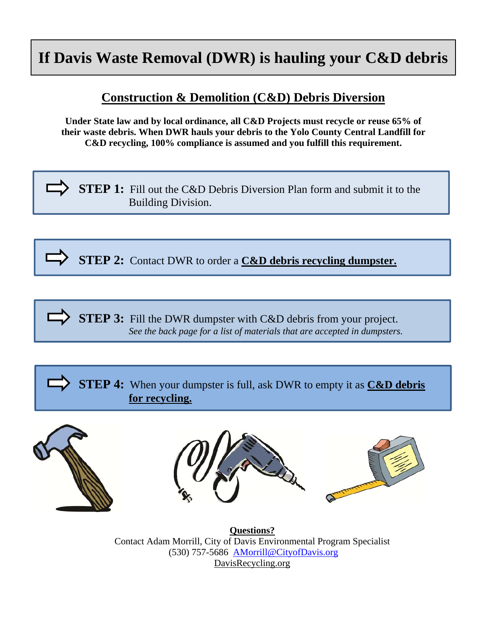## **If Davis Waste Removal (DWR) is hauling your C&D debris**

## **Construction & Demolition (C&D) Debris Diversion**

**Under State law and by local ordinance, all C&D Projects must recycle or reuse 65% of their waste debris. When DWR hauls your debris to the Yolo County Central Landfill for C&D recycling, 100% compliance is assumed and you fulfill this requirement.**

**STEP 1:** Fill out the C&D Debris Diversion Plan form and submit it to the Building Division.

**STEP 2:** Contact DWR to order a **C&D debris recycling dumpster.** 

**STEP 3:** Fill the DWR dumpster with C&D debris from your project.  *See the back page for a list of materials that are accepted in dumpsters.*

**STEP 4:** When your dumpster is full, ask DWR to empty it as **C&D debris for recycling.** 





**Questions?**  Contact Adam Morrill, City of Davis Environmental Program Specialist (530) 757-5686 AMorrill@CityofDavis.org DavisRecycling.org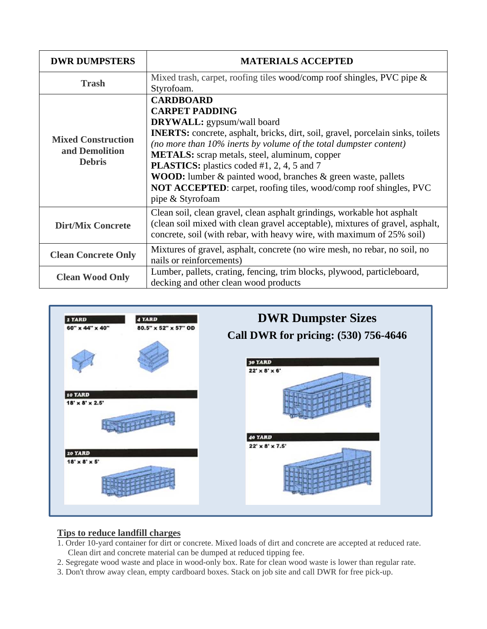| <b>DWR DUMPSTERS</b>                                         | <b>MATERIALS ACCEPTED</b>                                                                                                                                                                                                                                                                                                                                                                                                                                                                                           |  |
|--------------------------------------------------------------|---------------------------------------------------------------------------------------------------------------------------------------------------------------------------------------------------------------------------------------------------------------------------------------------------------------------------------------------------------------------------------------------------------------------------------------------------------------------------------------------------------------------|--|
| <b>Trash</b>                                                 | Mixed trash, carpet, roofing tiles wood/comp roof shingles, PVC pipe $\&$<br>Styrofoam.                                                                                                                                                                                                                                                                                                                                                                                                                             |  |
| <b>Mixed Construction</b><br>and Demolition<br><b>Debris</b> | <b>CARDBOARD</b><br><b>CARPET PADDING</b><br><b>DRYWALL:</b> gypsum/wall board<br><b>INERTS:</b> concrete, asphalt, bricks, dirt, soil, gravel, porcelain sinks, toilets<br>(no more than 10% inerts by volume of the total dumpster content)<br><b>METALS:</b> scrap metals, steel, aluminum, copper<br><b>PLASTICS:</b> plastics coded #1, 2, 4, 5 and 7<br>WOOD: lumber & painted wood, branches & green waste, pallets<br>NOT ACCEPTED: carpet, roofing tiles, wood/comp roof shingles, PVC<br>pipe & Styrofoam |  |
| <b>Dirt/Mix Concrete</b>                                     | Clean soil, clean gravel, clean asphalt grindings, workable hot asphalt<br>(clean soil mixed with clean gravel acceptable), mixtures of gravel, asphalt,<br>concrete, soil (with rebar, with heavy wire, with maximum of 25% soil)                                                                                                                                                                                                                                                                                  |  |
| <b>Clean Concrete Only</b>                                   | Mixtures of gravel, asphalt, concrete (no wire mesh, no rebar, no soil, no<br>nails or reinforcements)                                                                                                                                                                                                                                                                                                                                                                                                              |  |
| <b>Clean Wood Only</b>                                       | Lumber, pallets, crating, fencing, trim blocks, plywood, particleboard,<br>decking and other clean wood products                                                                                                                                                                                                                                                                                                                                                                                                    |  |



## **Tips to reduce landfill charges**

- 1. Order 10-yard container for dirt or concrete. Mixed loads of dirt and concrete are accepted at reduced rate. Clean dirt and concrete material can be dumped at reduced tipping fee.
- 2. Segregate wood waste and place in wood-only box. Rate for clean wood waste is lower than regular rate.
- 3. Don't throw away clean, empty cardboard boxes. Stack on job site and call DWR for free pick-up.